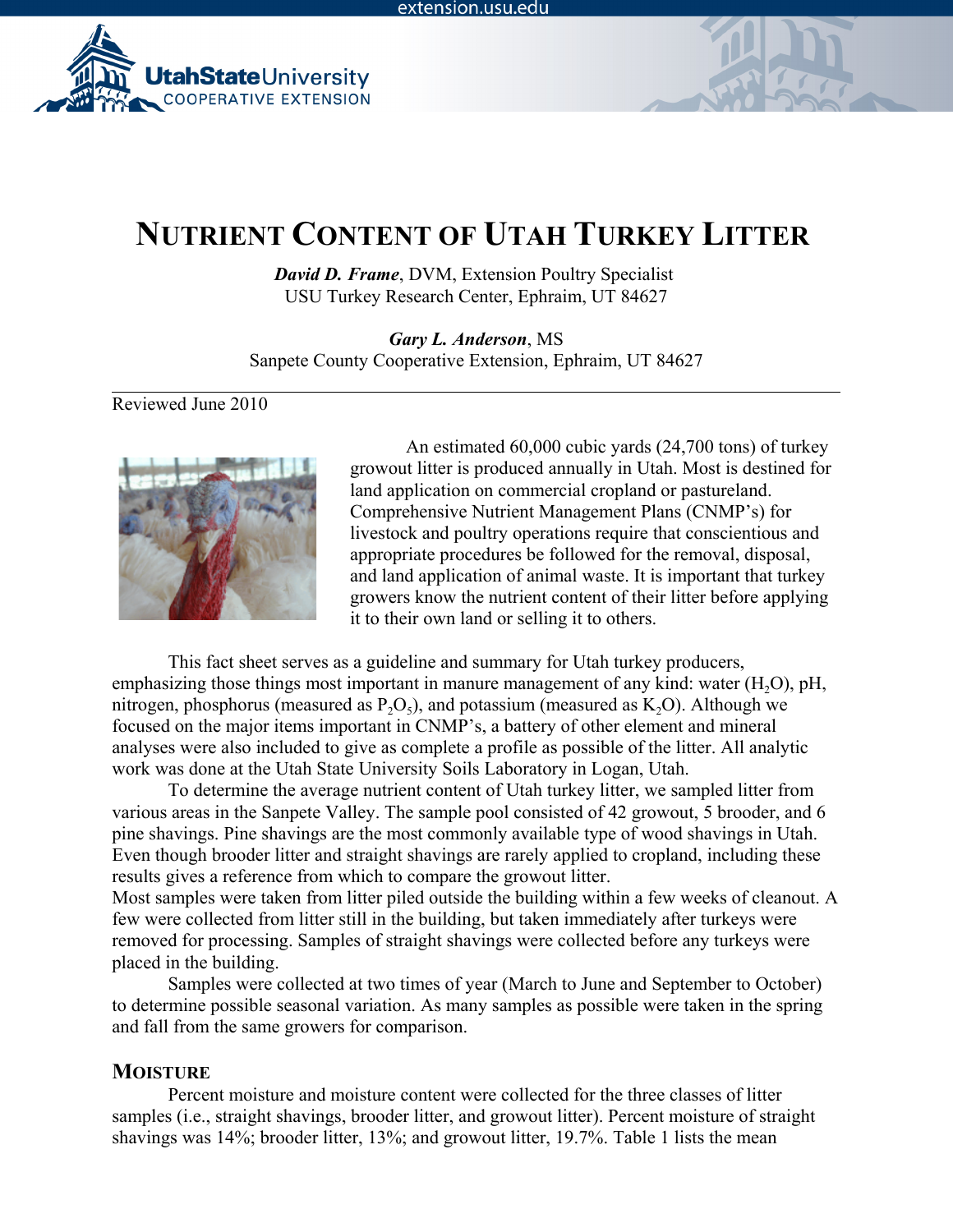

# **NUTRIENT CONTENT OF UTAH TURKEY LITTER**

*David D. Frame*, DVM, Extension Poultry Specialist USU Turkey Research Center, Ephraim, UT 84627

*Gary L. Anderson*, MS Sanpete County Cooperative Extension, Ephraim, UT 84627

Reviewed June 2010



An estimated 60,000 cubic yards (24,700 tons) of turkey growout litter is produced annually in Utah. Most is destined for land application on commercial cropland or pastureland. Comprehensive Nutrient Management Plans (CNMP's) for livestock and poultry operations require that conscientious and appropriate procedures be followed for the removal, disposal, and land application of animal waste. It is important that turkey growers know the nutrient content of their litter before applying it to their own land or selling it to others.

This fact sheet serves as a guideline and summary for Utah turkey producers, emphasizing those things most important in manure management of any kind: water  $(H<sub>2</sub>O)$ , pH, nitrogen, phosphorus (measured as  $P_2O_5$ ), and potassium (measured as  $K_2O$ ). Although we focused on the major items important in CNMP's, a battery of other element and mineral analyses were also included to give as complete a profile as possible of the litter. All analytic work was done at the Utah State University Soils Laboratory in Logan, Utah.

To determine the average nutrient content of Utah turkey litter, we sampled litter from various areas in the Sanpete Valley. The sample pool consisted of 42 growout, 5 brooder, and 6 pine shavings. Pine shavings are the most commonly available type of wood shavings in Utah. Even though brooder litter and straight shavings are rarely applied to cropland, including these results gives a reference from which to compare the growout litter.

Most samples were taken from litter piled outside the building within a few weeks of cleanout. A few were collected from litter still in the building, but taken immediately after turkeys were removed for processing. Samples of straight shavings were collected before any turkeys were placed in the building.

Samples were collected at two times of year (March to June and September to October) to determine possible seasonal variation. As many samples as possible were taken in the spring and fall from the same growers for comparison.

## **MOISTURE**

Percent moisture and moisture content were collected for the three classes of litter samples (i.e., straight shavings, brooder litter, and growout litter). Percent moisture of straight shavings was 14%; brooder litter, 13%; and growout litter, 19.7%. Table 1 lists the mean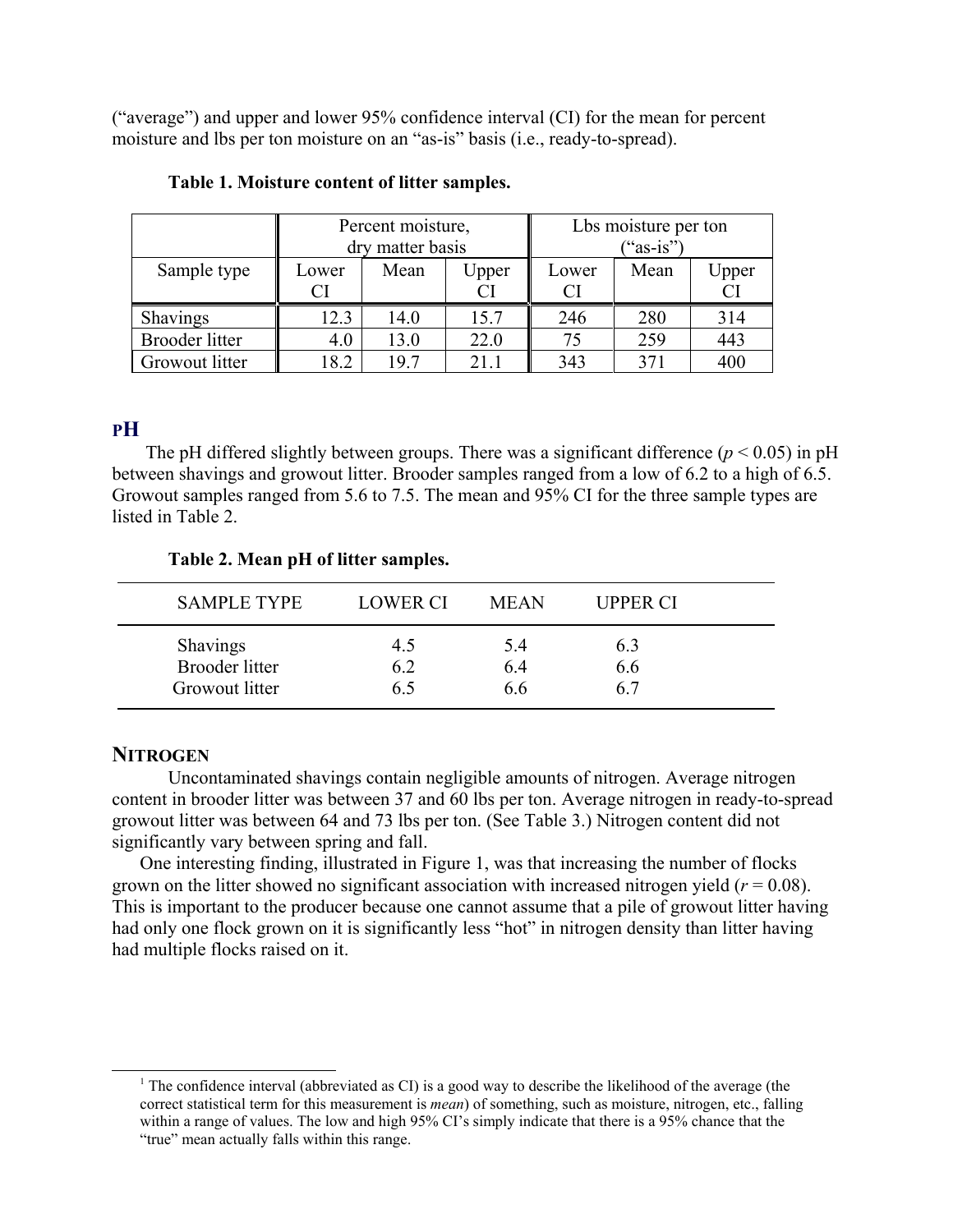("average") and upper and lower 95% confidence interval (CI) for the mean for percent moisture and lbs per ton moisture on an "as-is" basis (i.e., ready-to-spread).

|                 | Percent moisture,<br>dry matter basis |      |       | Lbs moisture per ton<br>$("as-is")$ |      |                    |
|-----------------|---------------------------------------|------|-------|-------------------------------------|------|--------------------|
| Sample type     | Lower                                 | Mean | Upper | Lower                               | Mean | Upper<br><b>CI</b> |
| <b>Shavings</b> | 12.3                                  | 14.0 | 15.7  | 246                                 | 280  | 314                |
| Brooder litter  | 4.0                                   | 13.0 | 22.0  | 75                                  | 259  | 443                |
| Growout litter  | 8.2                                   | 19.7 | 21 1  | 343                                 | 371  | 400                |

#### **Table 1. Moisture content of litter samples.**

# **PH**

The pH differed slightly between groups. There was a significant difference  $(p < 0.05)$  in pH between shavings and growout litter. Brooder samples ranged from a low of 6.2 to a high of 6.5. Growout samples ranged from 5.6 to 7.5. The mean and 95% CI for the three sample types are listed in Table 2.

| <b>SAMPLE TYPE</b>    | <b>LOWER CI</b> | <b>MEAN</b> | <b>UPPER CI</b> |  |
|-----------------------|-----------------|-------------|-----------------|--|
| <b>Shavings</b>       | 4.5             | 5.4         | 6.3             |  |
| <b>Brooder litter</b> | 62              | 64          | 6.6             |  |
| Growout litter        | 65              | ი ი         | 67              |  |

## **Table 2. Mean pH of litter samples.**

# **NITROGEN**

Uncontaminated shavings contain negligible amounts of nitrogen. Average nitrogen content in brooder litter was between 37 and 60 lbs per ton. Average nitrogen in ready-to-spread growout litter was between 64 and 73 lbs per ton. (See Table 3.) Nitrogen content did not significantly vary between spring and fall.

One interesting finding, illustrated in Figure 1, was that increasing the number of flocks grown on the litter showed no significant association with increased nitrogen yield  $(r = 0.08)$ . This is important to the producer because one cannot assume that a pile of growout litter having had only one flock grown on it is significantly less "hot" in nitrogen density than litter having had multiple flocks raised on it.

<sup>1</sup> The confidence interval (abbreviated as CI) is a good way to describe the likelihood of the average (the correct statistical term for this measurement is *mean*) of something, such as moisture, nitrogen, etc., falling within a range of values. The low and high 95% CI's simply indicate that there is a 95% chance that the "true" mean actually falls within this range.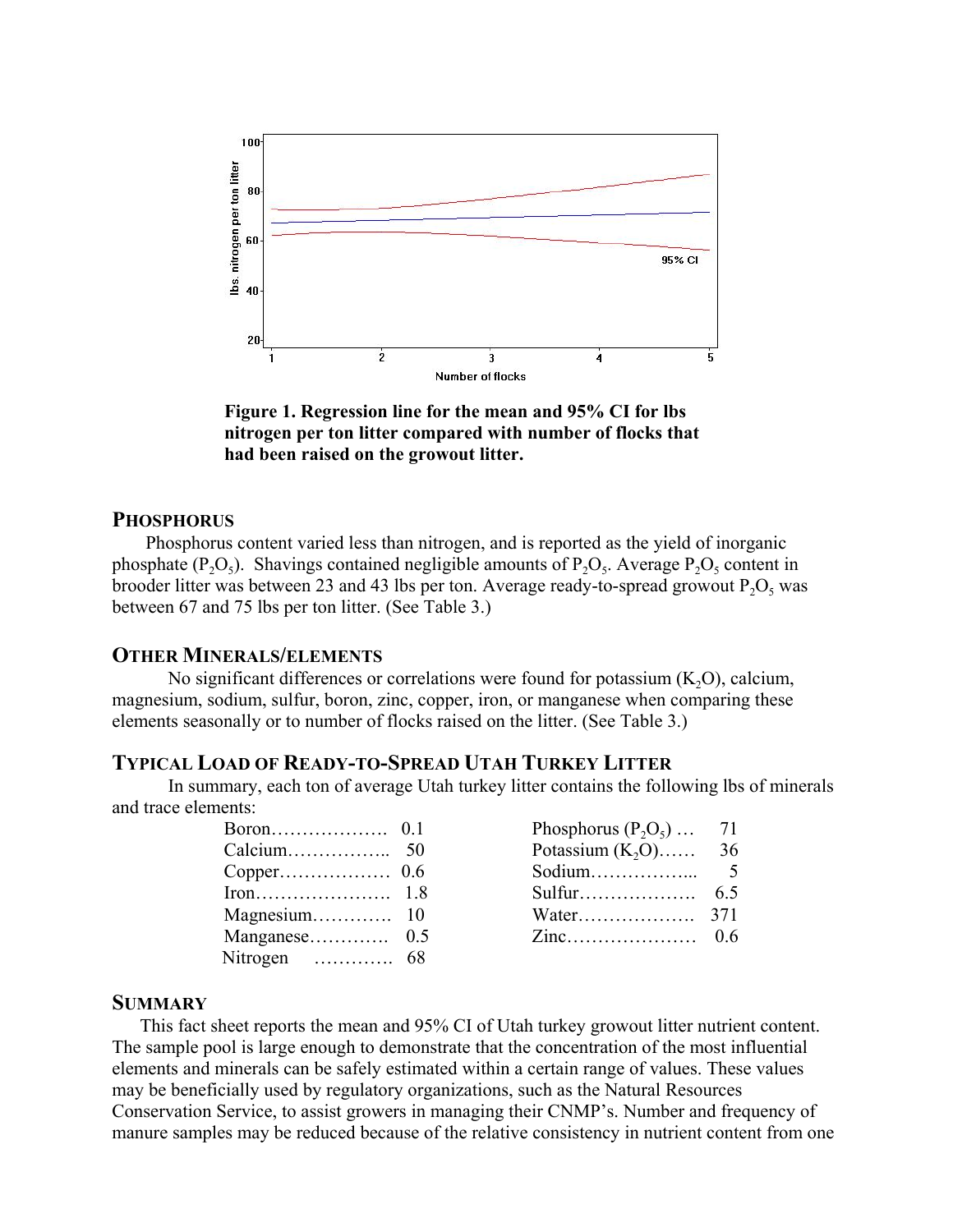

**Figure 1. Regression line for the mean and 95% CI for lbs nitrogen per ton litter compared with number of flocks that had been raised on the growout litter.**

## **PHOSPHORUS**

Phosphorus content varied less than nitrogen, and is reported as the yield of inorganic phosphate (P<sub>2</sub>O<sub>5</sub>). Shavings contained negligible amounts of P<sub>2</sub>O<sub>5</sub>. Average P<sub>2</sub>O<sub>5</sub> content in brooder litter was between 23 and 43 lbs per ton. Average ready-to-spread growout  $P_2O_5$  was between 67 and 75 lbs per ton litter. (See Table 3.)

#### **OTHER MINERALS/ELEMENTS**

No significant differences or correlations were found for potassium  $(K_2O)$ , calcium, magnesium, sodium, sulfur, boron, zinc, copper, iron, or manganese when comparing these elements seasonally or to number of flocks raised on the litter. (See Table 3.)

## **TYPICAL LOAD OF READY-TO-SPREAD UTAH TURKEY LITTER**

In summary, each ton of average Utah turkey litter contains the following lbs of minerals and trace elements:

|                                                         | 01  |
|---------------------------------------------------------|-----|
| Calcium                                                 | 50  |
| Copper                                                  | 0.6 |
| $\text{Iron} \dots \dots \dots \dots \dots \dots \dots$ | 18  |
| Magnesium                                               | 10  |
| Manganese                                               | 0.5 |
| Nitrogen<br>.                                           | 68  |

| Phosphorus $(P_2O_5)$ | 71  |
|-----------------------|-----|
| Potassium $(K_2O)$    | 36  |
| Sodium                | 5   |
|                       | 6.5 |
| Water                 | 371 |
|                       | 06  |

## **SUMMARY**

This fact sheet reports the mean and 95% CI of Utah turkey growout litter nutrient content. The sample pool is large enough to demonstrate that the concentration of the most influential elements and minerals can be safely estimated within a certain range of values. These values may be beneficially used by regulatory organizations, such as the Natural Resources Conservation Service, to assist growers in managing their CNMP's. Number and frequency of manure samples may be reduced because of the relative consistency in nutrient content from one